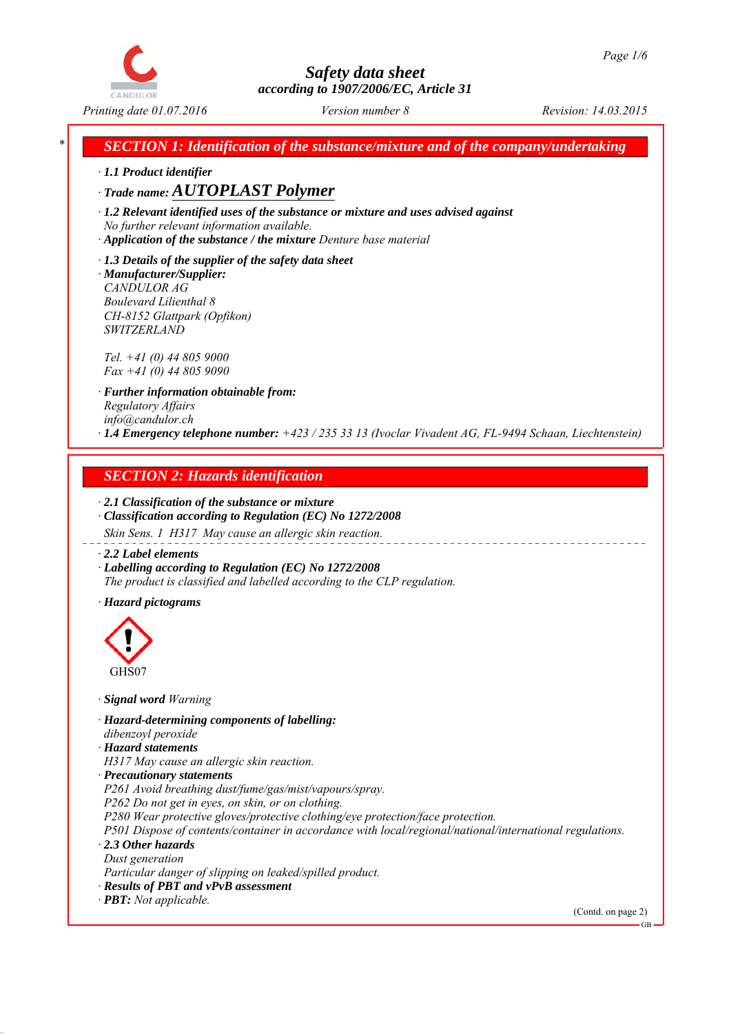

*\* SECTION 1: Identification of the substance/mixture and of the company/undertaking*

*∙ 1.1 Product identifier*

*∙ Trade name: AUTOPLAST Polymer*

*∙ 1.2 Relevant identified uses of the substance or mixture and uses advised against No further relevant information available.*

*∙ Application of the substance / the mixture Denture base material*

*∙ 1.3 Details of the supplier of the safety data sheet ∙ Manufacturer/Supplier: CANDULOR AG Boulevard Lilienthal 8 CH-8152 Glattpark (Opfikon) SWITZERLAND*

*Tel. +41 (0) 44 805 9000 Fax +41 (0) 44 805 9090*

*∙ Further information obtainable from: Regulatory Affairs info@candulor.ch ∙ 1.4 Emergency telephone number: +423 / 235 33 13 (Ivoclar Vivadent AG, FL-9494 Schaan, Liechtenstein)*

# *SECTION 2: Hazards identification*

*∙ 2.1 Classification of the substance or mixture ∙ Classification according to Regulation (EC) No 1272/2008*

*Skin Sens. 1 H317 May cause an allergic skin reaction.*

*∙ 2.2 Label elements*

*∙ Labelling according to Regulation (EC) No 1272/2008 The product is classified and labelled according to the CLP regulation.*

*∙ Hazard pictograms*



*∙ Signal word Warning*

*∙ Hazard-determining components of labelling: dibenzoyl peroxide*

*∙ Hazard statements*

*H317 May cause an allergic skin reaction.*

*∙ Precautionary statements*

*P261 Avoid breathing dust/fume/gas/mist/vapours/spray.*

*P262 Do not get in eyes, on skin, or on clothing.*

*P280 Wear protective gloves/protective clothing/eye protection/face protection.*

*P501 Dispose of contents/container in accordance with local/regional/national/international regulations. ∙ 2.3 Other hazards*

*Dust generation*

*Particular danger of slipping on leaked/spilled product.*

*∙ Results of PBT and vPvB assessment*

(Contd. on page 2)

*<sup>∙</sup> PBT: Not applicable.*

GB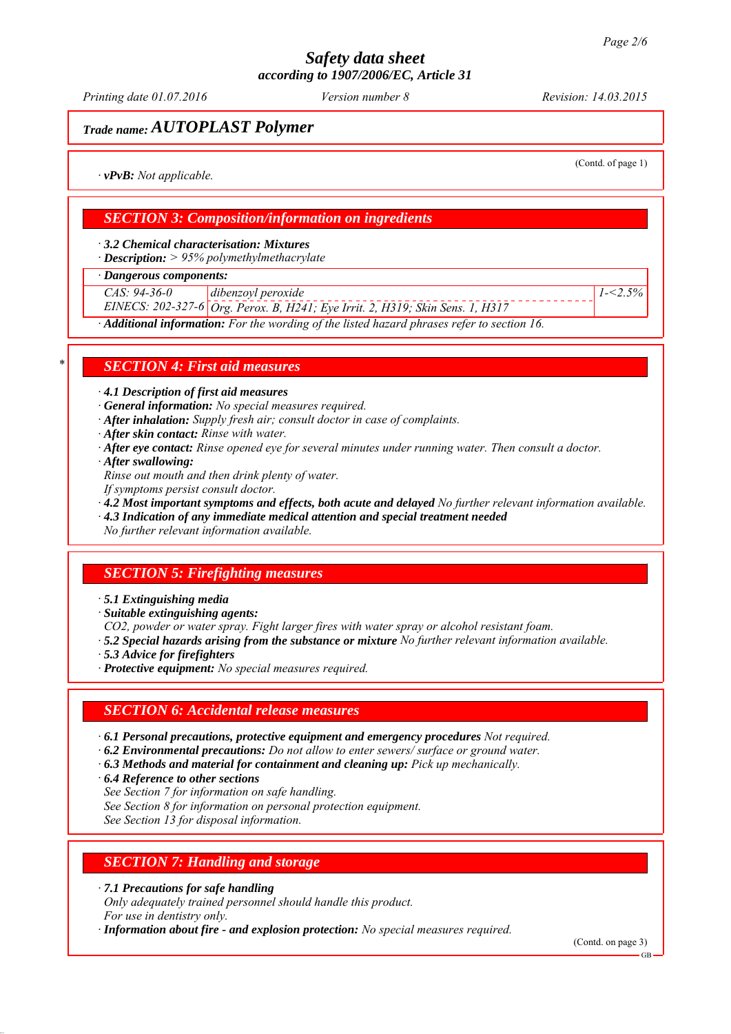*Printing date 01.07.2016 Revision: 14.03.2015 Version number 8*

## *Trade name: AUTOPLAST Polymer*

(Contd. of page 1)

*1-<2.5%*

*∙ vPvB: Not applicable.*

### *SECTION 3: Composition/information on ingredients*

*∙ 3.2 Chemical characterisation: Mixtures*

*∙ Description: > 95% polymethylmethacrylate*

*∙ Dangerous components:*

*CAS: 94-36-0 dibenzoyl peroxide*

*EINECS: 202-327-6 Org. Perox. B, H241; Eye Irrit. 2, H319; Skin Sens. 1, H317*

*∙ Additional information: For the wording of the listed hazard phrases refer to section 16.*

### *\* SECTION 4: First aid measures*

*∙ 4.1 Description of first aid measures*

*∙ General information: No special measures required.*

- *∙ After inhalation: Supply fresh air; consult doctor in case of complaints.*
- *∙ After skin contact: Rinse with water.*
- *∙ After eye contact: Rinse opened eye for several minutes under running water. Then consult a doctor.*
- *∙ After swallowing:*

*Rinse out mouth and then drink plenty of water.*

- *If symptoms persist consult doctor.*
- *∙ 4.2 Most important symptoms and effects, both acute and delayed No further relevant information available.*
- *∙ 4.3 Indication of any immediate medical attention and special treatment needed*

*No further relevant information available.*

## *SECTION 5: Firefighting measures*

*∙ 5.1 Extinguishing media*

- *∙ Suitable extinguishing agents:*
- *CO2, powder or water spray. Fight larger fires with water spray or alcohol resistant foam.*
- *∙ 5.2 Special hazards arising from the substance or mixture No further relevant information available.*
- *∙ 5.3 Advice for firefighters*
- *∙ Protective equipment: No special measures required.*

### *SECTION 6: Accidental release measures*

- *∙ 6.1 Personal precautions, protective equipment and emergency procedures Not required.*
- *∙ 6.2 Environmental precautions: Do not allow to enter sewers/ surface or ground water.*
- *∙ 6.3 Methods and material for containment and cleaning up: Pick up mechanically.*
- *∙ 6.4 Reference to other sections*
- *See Section 7 for information on safe handling.*
- *See Section 8 for information on personal protection equipment.*

*See Section 13 for disposal information.*

### *SECTION 7: Handling and storage*

*∙ 7.1 Precautions for safe handling*

*Only adequately trained personnel should handle this product. For use in dentistry only.*

*∙ Information about fire - and explosion protection: No special measures required.*

(Contd. on page 3)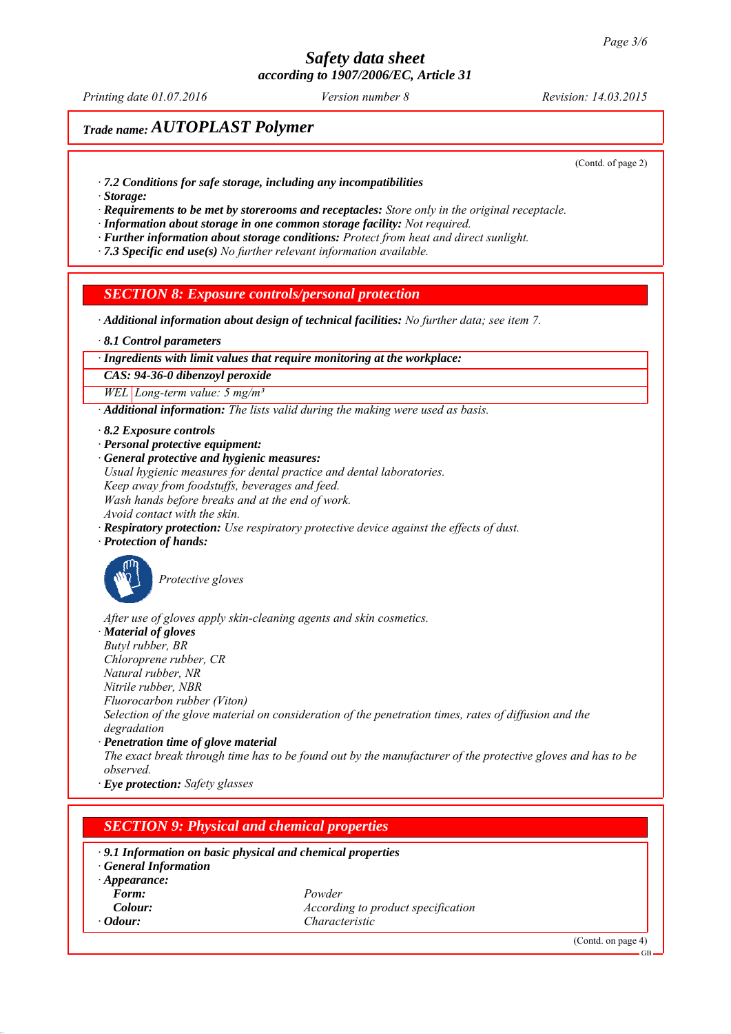*Printing date 01.07.2016 Revision: 14.03.2015 Version number 8*

# *Trade name: AUTOPLAST Polymer*

(Contd. of page 2)

- *∙ 7.2 Conditions for safe storage, including any incompatibilities*
- *∙ Storage:*

*∙ Requirements to be met by storerooms and receptacles: Store only in the original receptacle.*

*∙ Information about storage in one common storage facility: Not required.*

*∙ Further information about storage conditions: Protect from heat and direct sunlight.*

*∙ 7.3 Specific end use(s) No further relevant information available.*

### *SECTION 8: Exposure controls/personal protection*

*∙ Additional information about design of technical facilities: No further data; see item 7.*

*∙ 8.1 Control parameters*

#### *∙ Ingredients with limit values that require monitoring at the workplace:*

*CAS: 94-36-0 dibenzoyl peroxide*

*WEL Long-term value: 5 mg/m³*

*∙ Additional information: The lists valid during the making were used as basis.*

- *∙ 8.2 Exposure controls*
- *∙ Personal protective equipment:*

*∙ General protective and hygienic measures: Usual hygienic measures for dental practice and dental laboratories. Keep away from foodstuffs, beverages and feed. Wash hands before breaks and at the end of work. Avoid contact with the skin.*

*∙ Respiratory protection: Use respiratory protective device against the effects of dust.*

*∙ Protection of hands:*



*Protective gloves*

*After use of gloves apply skin-cleaning agents and skin cosmetics.*

*∙ Material of gloves*

*Butyl rubber, BR Chloroprene rubber, CR*

*Natural rubber, NR*

*Nitrile rubber, NBR*

*Fluorocarbon rubber (Viton)*

*Selection of the glove material on consideration of the penetration times, rates of diffusion and the degradation*

*∙ Penetration time of glove material*

*The exact break through time has to be found out by the manufacturer of the protective gloves and has to be observed.*

*∙ Eye protection: Safety glasses*

### *SECTION 9: Physical and chemical properties*

#### *∙ 9.1 Information on basic physical and chemical properties*

*∙ General Information*

- *∙ Appearance:*
- *Form: Powder Colour: According to product specification ∙ Odour: Characteristic*

(Contd. on page 4)

GB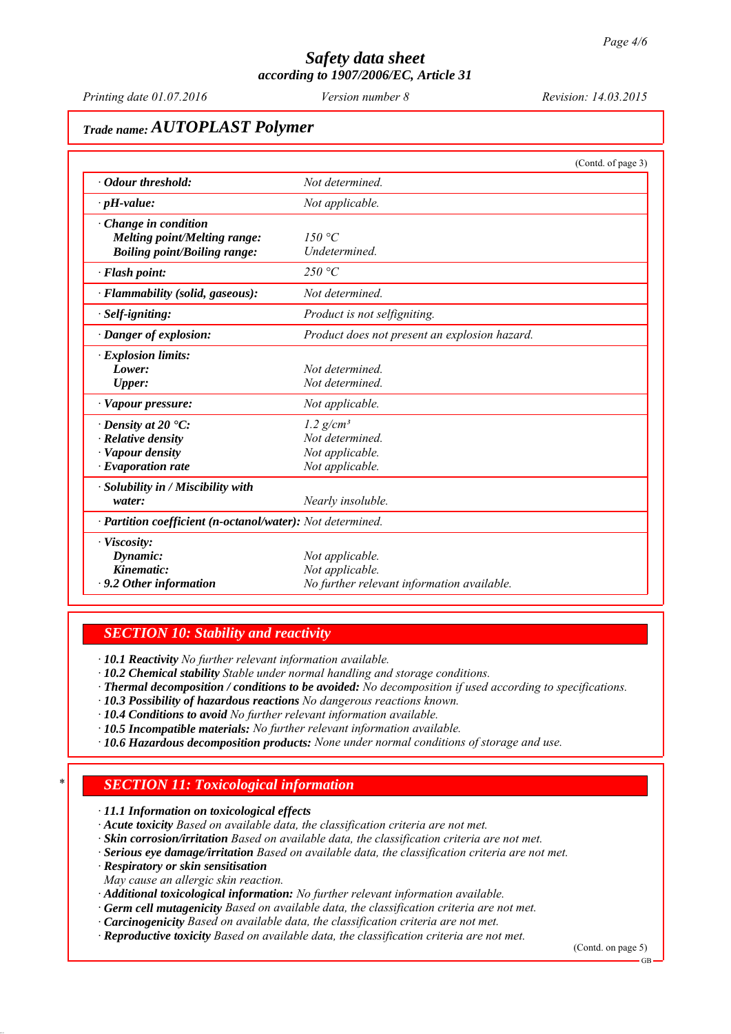*Printing date 01.07.2016 Revision: 14.03.2015 Version number 8*

# *Trade name: AUTOPLAST Polymer*

|                                                                                                                    | (Contd. of page 3)                                                               |
|--------------------------------------------------------------------------------------------------------------------|----------------------------------------------------------------------------------|
| • Odour threshold:                                                                                                 | Not determined.                                                                  |
| $\cdot$ pH-value:                                                                                                  | Not applicable.                                                                  |
| $\cdot$ Change in condition<br>Melting point/Melting range:<br><b>Boiling point/Boiling range:</b>                 | 150 °C<br>Undetermined.                                                          |
| $\cdot$ Flash point:                                                                                               | 250 °C                                                                           |
| $\cdot$ Flammability (solid, gaseous):                                                                             | Not determined.                                                                  |
| $\cdot$ Self-igniting:                                                                                             | Product is not selfigniting.                                                     |
| · Danger of explosion:                                                                                             | Product does not present an explosion hazard.                                    |
| · Explosion limits:<br>Lower:<br><b>Upper:</b>                                                                     | Not determined<br>Not determined.                                                |
| · Vapour pressure:                                                                                                 | Not applicable.                                                                  |
| $\cdot$ Density at 20 $\cdot$ C:<br>$\cdot$ Relative density<br>$\cdot$ Vapour density<br>$\cdot$ Evaporation rate | $1.2$ g/cm <sup>3</sup><br>Not determined.<br>Not applicable.<br>Not applicable. |
| $\cdot$ Solubility in / Miscibility with<br>water:                                                                 | Nearly insoluble.                                                                |
| · Partition coefficient (n-octanol/water): Not determined.                                                         |                                                                                  |
| · Viscosity:<br>Dynamic:<br>Kinematic:<br>$\cdot$ 9.2 Other information                                            | Not applicable.<br>Not applicable.<br>No further relevant information available. |

### *SECTION 10: Stability and reactivity*

*∙ 10.1 Reactivity No further relevant information available.*

*∙ 10.2 Chemical stability Stable under normal handling and storage conditions.*

- *∙ Thermal decomposition / conditions to be avoided: No decomposition if used according to specifications.*
- *∙ 10.3 Possibility of hazardous reactions No dangerous reactions known.*
- *∙ 10.4 Conditions to avoid No further relevant information available.*
- *∙ 10.5 Incompatible materials: No further relevant information available.*
- *∙ 10.6 Hazardous decomposition products: None under normal conditions of storage and use.*

### *\* SECTION 11: Toxicological information*

*∙ 11.1 Information on toxicological effects*

- *∙ Acute toxicity Based on available data, the classification criteria are not met.*
- *∙ Skin corrosion/irritation Based on available data, the classification criteria are not met.*
- *∙ Serious eye damage/irritation Based on available data, the classification criteria are not met.*
- *∙ Respiratory or skin sensitisation*
- *May cause an allergic skin reaction.*
- *∙ Additional toxicological information: No further relevant information available.*
- *∙ Germ cell mutagenicity Based on available data, the classification criteria are not met.*
- *∙ Carcinogenicity Based on available data, the classification criteria are not met.*
- *∙ Reproductive toxicity Based on available data, the classification criteria are not met.*

(Contd. on page 5)

GB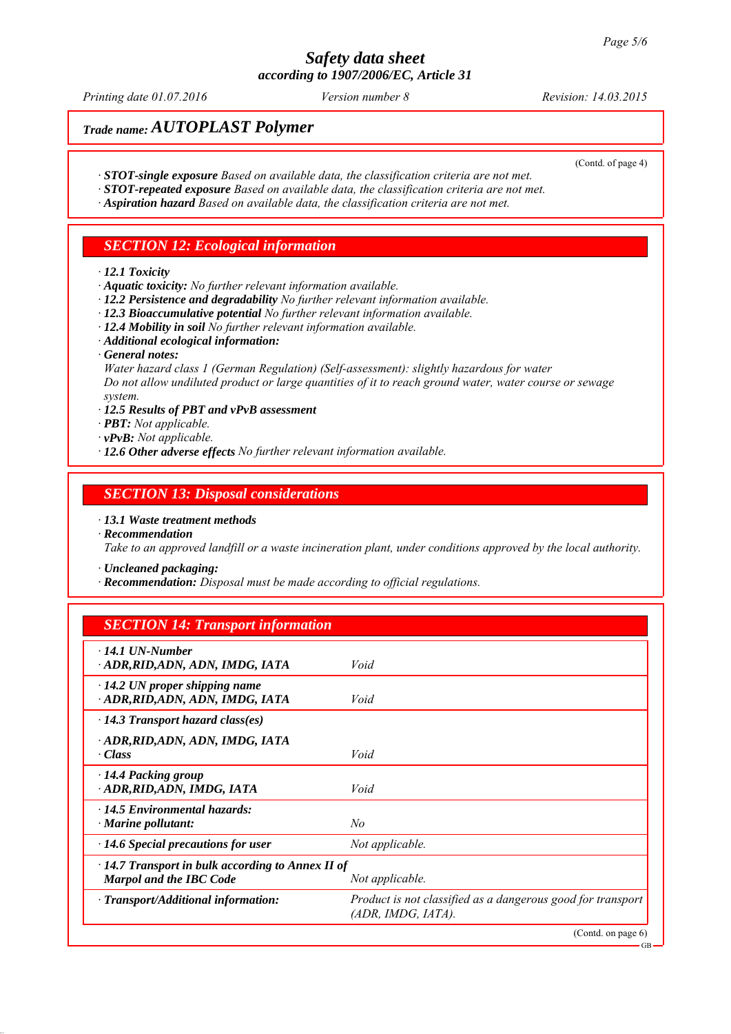*Printing date 01.07.2016 Revision: 14.03.2015 Version number 8*

(Contd. of page 4)

GB

# *Trade name: AUTOPLAST Polymer*

- *∙ STOT-single exposure Based on available data, the classification criteria are not met.*
- *∙ STOT-repeated exposure Based on available data, the classification criteria are not met.*
- *∙ Aspiration hazard Based on available data, the classification criteria are not met.*

### *SECTION 12: Ecological information*

#### *∙ 12.1 Toxicity*

- *∙ Aquatic toxicity: No further relevant information available.*
- *∙ 12.2 Persistence and degradability No further relevant information available.*
- *∙ 12.3 Bioaccumulative potential No further relevant information available.*
- *∙ 12.4 Mobility in soil No further relevant information available.*
- *∙ Additional ecological information:*
- *∙ General notes:*

*Water hazard class 1 (German Regulation) (Self-assessment): slightly hazardous for water Do not allow undiluted product or large quantities of it to reach ground water, water course or sewage system.*

- *∙ 12.5 Results of PBT and vPvB assessment*
- *∙ PBT: Not applicable.*
- *∙ vPvB: Not applicable.*
- *∙ 12.6 Other adverse effects No further relevant information available.*

### *SECTION 13: Disposal considerations*

- *∙ 13.1 Waste treatment methods*
- *∙ Recommendation*

*Take to an approved landfill or a waste incineration plant, under conditions approved by the local authority.*

*∙ Uncleaned packaging:*

*∙ Recommendation: Disposal must be made according to official regulations.*

### *SECTION 14: Transport information*

| $\cdot$ 14.1 UN-Number<br>· ADR, RID, ADN, ADN, IMDG, IATA                                                   | Void                                                                              |
|--------------------------------------------------------------------------------------------------------------|-----------------------------------------------------------------------------------|
| $\cdot$ 14.2 UN proper shipping name<br>· ADR, RID, ADN, ADN, IMDG, IATA                                     | Void                                                                              |
| $\cdot$ 14.3 Transport hazard class(es)                                                                      |                                                                                   |
| · ADR, RID, ADN, ADN, IMDG, IATA<br>· Class                                                                  | Void                                                                              |
| $\cdot$ 14.4 Packing group<br>· ADR, RID, ADN, IMDG, IATA                                                    | Void                                                                              |
| $\cdot$ 14.5 Environmental hazards:<br>$\cdot$ Marine pollutant:                                             | No                                                                                |
| $\cdot$ 14.6 Special precautions for user                                                                    | Not applicable.                                                                   |
| $\cdot$ 14.7 Transport in bulk according to Annex II of<br><b>Marpol and the IBC Code</b><br>Not applicable. |                                                                                   |
| · Transport/Additional information:                                                                          | Product is not classified as a dangerous good for transport<br>(ADR, IMDG, IATA). |
|                                                                                                              | (Cond. on page 6)                                                                 |